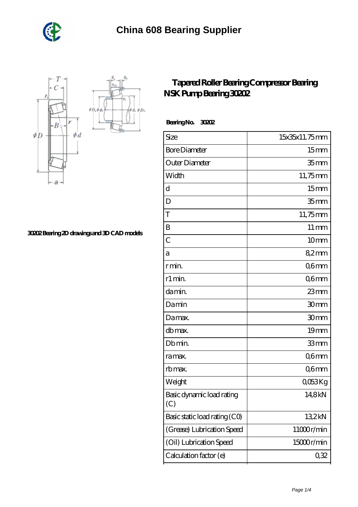



**[30202 Bearing 2D drawings and 3D CAD models](https://shantirecords.com/pic-802403.html)**

## **[Tapered Roller Bearing Compressor Bearing](https://shantirecords.com/nsk-30202-bearing/) [NSK Pump Bearing 30202](https://shantirecords.com/nsk-30202-bearing/)**

 **Bearing No. 30202**

 $\phi D_h$ φà,

| Size                             | 15x35x11.75mm      |
|----------------------------------|--------------------|
| <b>Bore Diameter</b>             | 15 <sub>mm</sub>   |
| Outer Diameter                   | 35 <sub>mm</sub>   |
| Width                            | 11,75mm            |
| d                                | 15 <sub>mm</sub>   |
| D                                | 35 <sub>mm</sub>   |
| T                                | 11,75mm            |
| B                                | $11 \,\mathrm{mm}$ |
| $\overline{C}$                   | 10 <sub>mm</sub>   |
| а                                | 82mm               |
| r min.                           | Q6mm               |
| r1 min.                          | Q6mm               |
| da min.                          | 23mm               |
| Damin                            | 30mm               |
| Damax.                           | 30mm               |
| db max.                          | 19mm               |
| Db min.                          | 33mm               |
| ra max.                          | Q6mm               |
| rb max.                          | Q6mm               |
| Weight                           | Q053Kg             |
| Basic dynamic load rating<br>(C) | 14,8kN             |
| Basic static load rating (CO)    | 132kN              |
| (Grease) Lubrication Speed       | 11000r/min         |
| (Oil) Lubrication Speed          | 15000r/min         |
| Calculation factor (e)           | 0,32               |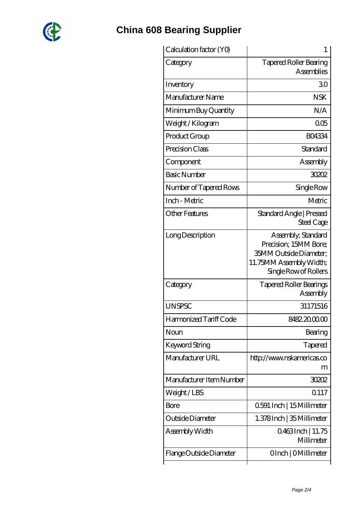

## **[China 608 Bearing Supplier](https://shantirecords.com)**

| <b>Tapered Roller Bearing</b><br>Category<br><b>Assemblies</b><br>Inventory<br>30<br>Manufacturer Name<br><b>NSK</b><br>N/A<br>Minimum Buy Quantity<br>005<br>Weight / Kilogram<br><b>BO4334</b><br>Product Group<br>Standard<br>Precision Class<br>Assembly<br>Component<br><b>Basic Number</b><br>30202<br>Number of Tapered Rows<br>Single Row<br>Inch - Metric<br>Metric<br>Other Features<br>Standard Angle   Pressed<br>Steel Cage<br>Assembly, Standard<br>Long Description<br>Precision; 15MM Bore;<br>35MM Outside Diameter;<br>11.75MM Assembly Width;<br>Single Row of Rollers<br><b>Tapered Roller Bearings</b><br>Category<br>Assembly<br>31171516<br><b>UNSPSC</b><br>Harmonized Tariff Code<br>8482.2000.00<br>Noun<br>Bearing<br>Keyword String<br>Tapered<br>Manufacturer URL<br>http://www.nskamericas.co<br>m<br>Manufacturer Item Number<br>30202<br>Q117<br>Weight/LBS<br>0.591 Inch   15 Millimeter<br>Bore<br>Outside Diameter<br>1.378 Inch   35 Millimeter<br>Assembly Width<br>0.463Inch   11.75<br>Millimeter<br>Flange Outside Diameter<br>OInch   OMillimeter | Calculation factor (YO) | 1 |
|--------------------------------------------------------------------------------------------------------------------------------------------------------------------------------------------------------------------------------------------------------------------------------------------------------------------------------------------------------------------------------------------------------------------------------------------------------------------------------------------------------------------------------------------------------------------------------------------------------------------------------------------------------------------------------------------------------------------------------------------------------------------------------------------------------------------------------------------------------------------------------------------------------------------------------------------------------------------------------------------------------------------------------------------------------------------------------------------|-------------------------|---|
|                                                                                                                                                                                                                                                                                                                                                                                                                                                                                                                                                                                                                                                                                                                                                                                                                                                                                                                                                                                                                                                                                            |                         |   |
|                                                                                                                                                                                                                                                                                                                                                                                                                                                                                                                                                                                                                                                                                                                                                                                                                                                                                                                                                                                                                                                                                            |                         |   |
|                                                                                                                                                                                                                                                                                                                                                                                                                                                                                                                                                                                                                                                                                                                                                                                                                                                                                                                                                                                                                                                                                            |                         |   |
|                                                                                                                                                                                                                                                                                                                                                                                                                                                                                                                                                                                                                                                                                                                                                                                                                                                                                                                                                                                                                                                                                            |                         |   |
|                                                                                                                                                                                                                                                                                                                                                                                                                                                                                                                                                                                                                                                                                                                                                                                                                                                                                                                                                                                                                                                                                            |                         |   |
|                                                                                                                                                                                                                                                                                                                                                                                                                                                                                                                                                                                                                                                                                                                                                                                                                                                                                                                                                                                                                                                                                            |                         |   |
|                                                                                                                                                                                                                                                                                                                                                                                                                                                                                                                                                                                                                                                                                                                                                                                                                                                                                                                                                                                                                                                                                            |                         |   |
|                                                                                                                                                                                                                                                                                                                                                                                                                                                                                                                                                                                                                                                                                                                                                                                                                                                                                                                                                                                                                                                                                            |                         |   |
|                                                                                                                                                                                                                                                                                                                                                                                                                                                                                                                                                                                                                                                                                                                                                                                                                                                                                                                                                                                                                                                                                            |                         |   |
|                                                                                                                                                                                                                                                                                                                                                                                                                                                                                                                                                                                                                                                                                                                                                                                                                                                                                                                                                                                                                                                                                            |                         |   |
|                                                                                                                                                                                                                                                                                                                                                                                                                                                                                                                                                                                                                                                                                                                                                                                                                                                                                                                                                                                                                                                                                            |                         |   |
|                                                                                                                                                                                                                                                                                                                                                                                                                                                                                                                                                                                                                                                                                                                                                                                                                                                                                                                                                                                                                                                                                            |                         |   |
|                                                                                                                                                                                                                                                                                                                                                                                                                                                                                                                                                                                                                                                                                                                                                                                                                                                                                                                                                                                                                                                                                            |                         |   |
|                                                                                                                                                                                                                                                                                                                                                                                                                                                                                                                                                                                                                                                                                                                                                                                                                                                                                                                                                                                                                                                                                            |                         |   |
|                                                                                                                                                                                                                                                                                                                                                                                                                                                                                                                                                                                                                                                                                                                                                                                                                                                                                                                                                                                                                                                                                            |                         |   |
|                                                                                                                                                                                                                                                                                                                                                                                                                                                                                                                                                                                                                                                                                                                                                                                                                                                                                                                                                                                                                                                                                            |                         |   |
|                                                                                                                                                                                                                                                                                                                                                                                                                                                                                                                                                                                                                                                                                                                                                                                                                                                                                                                                                                                                                                                                                            |                         |   |
|                                                                                                                                                                                                                                                                                                                                                                                                                                                                                                                                                                                                                                                                                                                                                                                                                                                                                                                                                                                                                                                                                            |                         |   |
|                                                                                                                                                                                                                                                                                                                                                                                                                                                                                                                                                                                                                                                                                                                                                                                                                                                                                                                                                                                                                                                                                            |                         |   |
|                                                                                                                                                                                                                                                                                                                                                                                                                                                                                                                                                                                                                                                                                                                                                                                                                                                                                                                                                                                                                                                                                            |                         |   |
|                                                                                                                                                                                                                                                                                                                                                                                                                                                                                                                                                                                                                                                                                                                                                                                                                                                                                                                                                                                                                                                                                            |                         |   |
|                                                                                                                                                                                                                                                                                                                                                                                                                                                                                                                                                                                                                                                                                                                                                                                                                                                                                                                                                                                                                                                                                            |                         |   |
|                                                                                                                                                                                                                                                                                                                                                                                                                                                                                                                                                                                                                                                                                                                                                                                                                                                                                                                                                                                                                                                                                            |                         |   |
|                                                                                                                                                                                                                                                                                                                                                                                                                                                                                                                                                                                                                                                                                                                                                                                                                                                                                                                                                                                                                                                                                            |                         |   |
|                                                                                                                                                                                                                                                                                                                                                                                                                                                                                                                                                                                                                                                                                                                                                                                                                                                                                                                                                                                                                                                                                            |                         |   |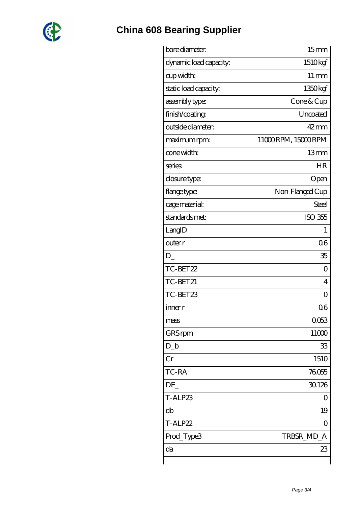

## **[China 608 Bearing Supplier](https://shantirecords.com)**

| bore diameter:         | 15 <sub>mm</sub>   |
|------------------------|--------------------|
| dynamic load capacity: | 1510kgf            |
| cup width:             | $11 \,\mathrm{mm}$ |
| static load capacity.  | 1350kgf            |
| assembly type:         | Cone & Cup         |
| finish/coating         | Uncoated           |
| outside diameter:      | $42 \text{mm}$     |
| maximum rpm:           | 11000RPM, 15000RPM |
| cone width:            | 13mm               |
| series:                | <b>HR</b>          |
| closure type:          | Open               |
| flange type:           | Non-Flanged Cup    |
| cage material:         | Steel              |
| standards met:         | ISO 355            |
| LangID                 | L                  |
| outer r                | 06                 |
| D                      | 35                 |
| TC-BET22               | 0                  |
| TC-BET21               | $\overline{4}$     |
| TC-BET23               | ∩                  |
| inner r                | 06                 |
| mass                   | 0053               |
| GRS rpm                | 11000              |
| $D_{-}b$               | 33                 |
| Cr                     | 1510               |
| TC-RA                  | 76055              |
| DE                     | 30.126             |
| T-ALP23                | 0                  |
| db                     | 19                 |
| T-ALP22                | 0                  |
| Prod_Type3             | TRBSR_MD_A         |
| da                     | 23                 |
|                        |                    |